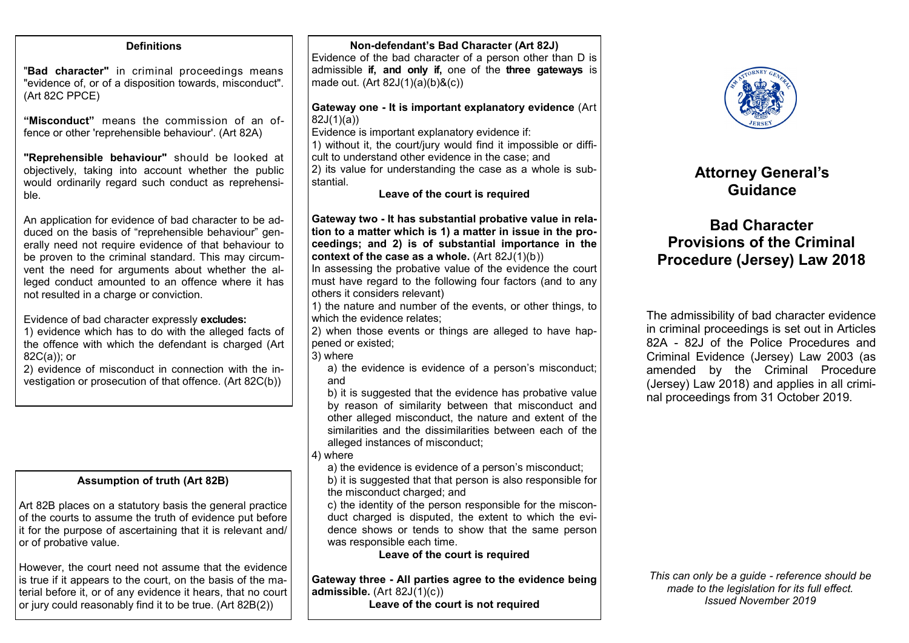| <b>Definitions</b>                                                                                                                                                                                                                                                                                                                                                                   | Non-defendant's Bad Character (Art 82J)<br>Evidence of the bad character of a person other than D is                                                                                                                                                                                                                                                                                              |                                                                                               |
|--------------------------------------------------------------------------------------------------------------------------------------------------------------------------------------------------------------------------------------------------------------------------------------------------------------------------------------------------------------------------------------|---------------------------------------------------------------------------------------------------------------------------------------------------------------------------------------------------------------------------------------------------------------------------------------------------------------------------------------------------------------------------------------------------|-----------------------------------------------------------------------------------------------|
| "Bad character" in criminal proceedings means<br>"evidence of, or of a disposition towards, misconduct".<br>(Art 82C PPCE)                                                                                                                                                                                                                                                           | admissible if, and only if, one of the three gateways is<br>made out. $(Art 82J(1)(a)(b)&(c))$                                                                                                                                                                                                                                                                                                    |                                                                                               |
| "Misconduct" means the commission of an of-<br>fence or other 'reprehensible behaviour'. (Art 82A)<br>"Reprehensible behaviour" should be looked at<br>objectively, taking into account whether the public<br>would ordinarily regard such conduct as reprehensi-<br>ble.                                                                                                            | Gateway one - It is important explanatory evidence (Art<br>82J(1)(a)<br>Evidence is important explanatory evidence if:<br>1) without it, the court/jury would find it impossible or diffi-<br>cult to understand other evidence in the case; and<br>2) its value for understanding the case as a whole is sub-<br>stantial.<br>Leave of the court is required                                     | A                                                                                             |
| An application for evidence of bad character to be ad-<br>duced on the basis of "reprehensible behaviour" gen-<br>erally need not require evidence of that behaviour to<br>be proven to the criminal standard. This may circum-<br>vent the need for arguments about whether the al-<br>leged conduct amounted to an offence where it has<br>not resulted in a charge or conviction. | Gateway two - It has substantial probative value in rela-<br>tion to a matter which is 1) a matter in issue in the pro-<br>ceedings; and 2) is of substantial importance in the<br>context of the case as a whole. $(Art 82J(1)(b))$<br>In assessing the probative value of the evidence the court<br>must have regard to the following four factors (and to any<br>others it considers relevant) | <b>Provi</b><br><b>Proced</b>                                                                 |
| Evidence of bad character expressly excludes:<br>1) evidence which has to do with the alleged facts of<br>the offence with which the defendant is charged (Art<br>$82C(a)$ ; or<br>2) evidence of misconduct in connection with the in-<br>vestigation or prosecution of that offence. (Art 82C(b))                                                                                  | 1) the nature and number of the events, or other things, to<br>which the evidence relates;<br>2) when those events or things are alleged to have hap-<br>pened or existed;<br>3) where<br>a) the evidence is evidence of a person's misconduct;<br>and<br>b) it is suggested that the evidence has probative value<br>by reason of similarity between that misconduct and                         | The admiss<br>in criminal<br>82A - 82J<br>Criminal E<br>amended<br>(Jersey) La<br>nal proceed |
|                                                                                                                                                                                                                                                                                                                                                                                      | other alleged misconduct, the nature and extent of the<br>similarities and the dissimilarities between each of the<br>alleged instances of misconduct;<br>4) where<br>a) the evidence is evidence of a person's misconduct;                                                                                                                                                                       |                                                                                               |
| <b>Assumption of truth (Art 82B)</b>                                                                                                                                                                                                                                                                                                                                                 | b) it is suggested that that person is also responsible for                                                                                                                                                                                                                                                                                                                                       |                                                                                               |
| Art 82B places on a statutory basis the general practice<br>of the courts to assume the truth of evidence put before<br>it for the purpose of ascertaining that it is relevant and/<br>or of probative value.                                                                                                                                                                        | the misconduct charged; and<br>c) the identity of the person responsible for the miscon-<br>duct charged is disputed, the extent to which the evi-<br>dence shows or tends to show that the same person<br>was responsible each time.<br>Leave of the court is required                                                                                                                           |                                                                                               |
| However, the court need not assume that the evidence<br>is true if it appears to the court, on the basis of the ma-<br>terial before it, or of any evidence it hears, that no court<br>or jury could reasonably find it to be true. (Art 82B(2))                                                                                                                                     | Gateway three - All parties agree to the evidence being<br>admissible. $(Art 82J(1)(c))$<br>Leave of the court is not required                                                                                                                                                                                                                                                                    | This can on<br>made to                                                                        |

**Attorney General's**

## **Bad Character Provisions of the Criminal Procedure (Jersey) Law 2018**

**Guidance**

sibility of bad character evidence proceedings is set out in Articles of the Police Procedures and vidence (Jersey) Law 2003 (as by the Criminal Procedure aw 2018) and applies in all crimidings from 31 October 2019.

*This can only be a guide - reference should be made to the legislation for its full effect. Issued November 2019*